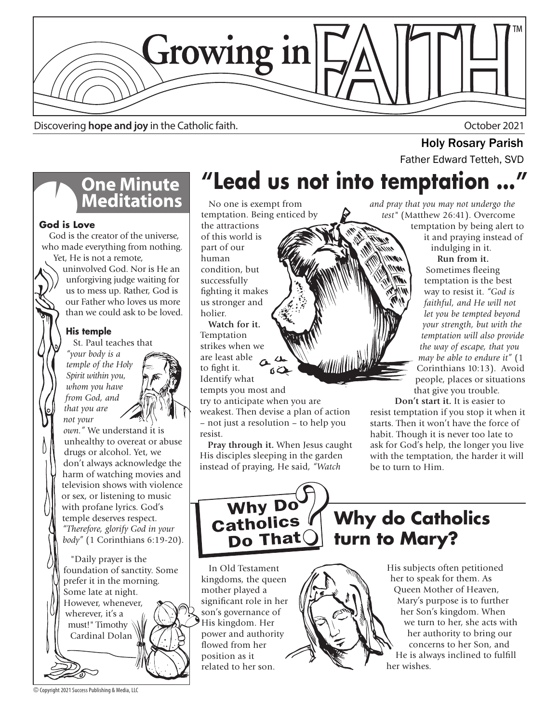

Discovering **hope and joy** in the Catholic faith. **Discovering hope and joy** in the Catholic faith.

# **One Minute<br>Meditations**

### **God is Love**

 God is the creator of the universe, who made everything from nothing. Yet, He is not a remote,

uninvolved God. Nor is He an unforgiving judge waiting for us to mess up. Rather, God is our Father who loves us more than we could ask to be loved.

### **His temple**

St. Paul teaches that

*"your body is a temple of the Holy Spirit within you, whom you have from God, and that you are not your* 



*own."* We understand it is unhealthy to overeat or abuse drugs or alcohol. Yet, we don't always acknowledge the harm of watching movies and television shows with violence or sex, or listening to music with profane lyrics. God's temple deserves respect. *"Therefore, glorify God in your body"* (1 Corinthians 6:19-20).

 "Daily prayer is the foundation of sanctity. Some prefer it in the morning. Some late at night. However, whenever, wherever, it's a must!" Timothy Cardinal Dolan

## **"Lead us not into temptation …"**

 No one is exempt from temptation. Being enticed by

the attractions of this world is part of our human condition, but successfully fighting it makes us stronger and holier.

 **Watch for it.**  Temptation strikes when we are least able to fight it. Identify what tempts you most and

try to anticipate when you are weakest. Then devise a plan of action – not just a resolution – to help you resist.

 **Pray through it.** When Jesus caught His disciples sleeping in the garden instead of praying, He said, *"Watch* 

*and pray that you may not undergo the test"* (Matthew 26:41). Overcome temptation by being alert to it and praying instead of indulging in it.

**Holy Rosary Parish**<br>Father Edward Tetteh, SVD

 **Run from it.** Sometimes fleeing temptation is the best way to resist it. *"God is faithful, and He will not let you be tempted beyond your strength, but with the temptation will also provide the way of escape, that you may be able to endure it"* (1 Corinthians 10:13). Avoid people, places or situations that give you trouble.

 **Don't start it.** It is easier to resist temptation if you stop it when it starts. Then it won't have the force of habit. Though it is never too late to ask for God's help, the longer you live with the temptation, the harder it will be to turn to Him.

Why Do<br>Catholics Do That

**Why do Catholics turn to Mary?**

 In Old Testament kingdoms, the queen mother played a significant role in her son's governance of His kingdom. Her power and authority flowed from her position as it related to her son.

His subjects often petitioned her to speak for them. As Queen Mother of Heaven, Mary's purpose is to further her Son's kingdom. When we turn to her, she acts with her authority to bring our

concerns to her Son, and He is always inclined to fulfill her wishes.

© Copyright 2021 Success Publishing & Media, LLC